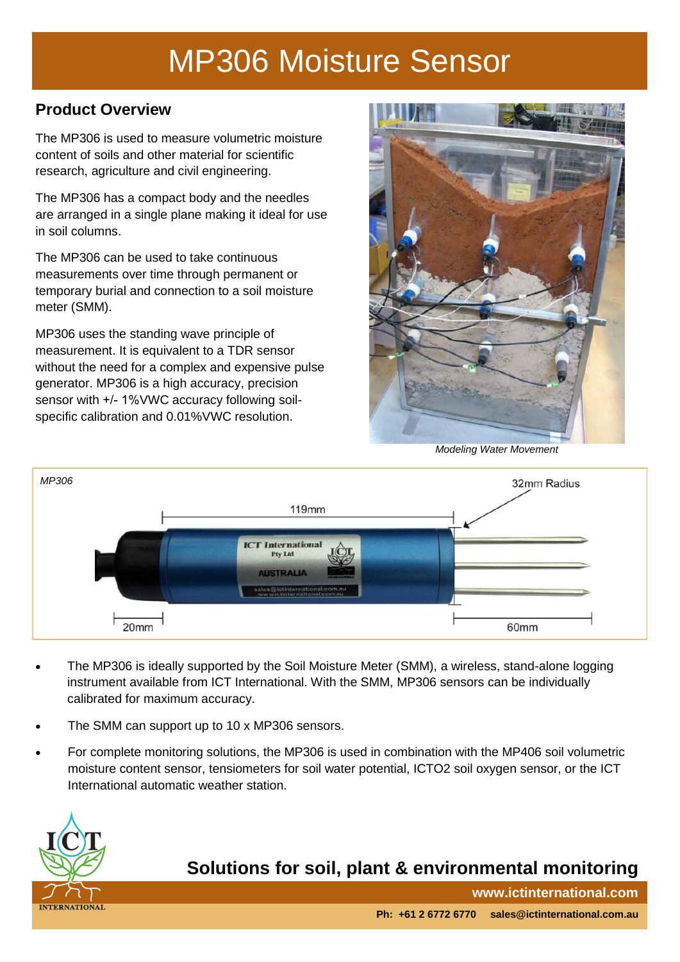# MP306 Moisture Sensor

#### **Product Overview**

The MP306 is used to measure volumetric moisture content of soils and other material for scientific research, agriculture and civil engineering.

The MP306 has a compact body and the needles are arranged in a single plane making it ideal for use in soil columns.

The MP306 can be used to take continuous measurements over time through permanent or temporary burial and connection to a soil moisture meter (SMM).

MP306 uses the standing wave principle of measurement. It is equivalent to a TDR sensor without the need for a complex and expensive pulse generator. MP306 is a high accuracy, precision sensor with +/- 1%VWC accuracy following soilspecific calibration and 0.01%VWC resolution.



*Modeling Water Movement* 



- The MP306 is ideally supported by the Soil Moisture Meter (SMM), a wireless, stand-alone logging instrument available from ICT International. With the SMM, MP306 sensors can be individually calibrated for maximum accuracy.
- The SMM can support up to 10 x MP306 sensors.  $\bullet$
- For complete monitoring solutions, the MP306 is used in combination with the MP406 soil volumetric moisture content sensor, tensiometers for soil water potential, ICTO2 soil oxygen sensor, or the ICT International automatic weather station.



## **Solutions for soil, plant & environmental monitoring**

**www.ictinternational.com**